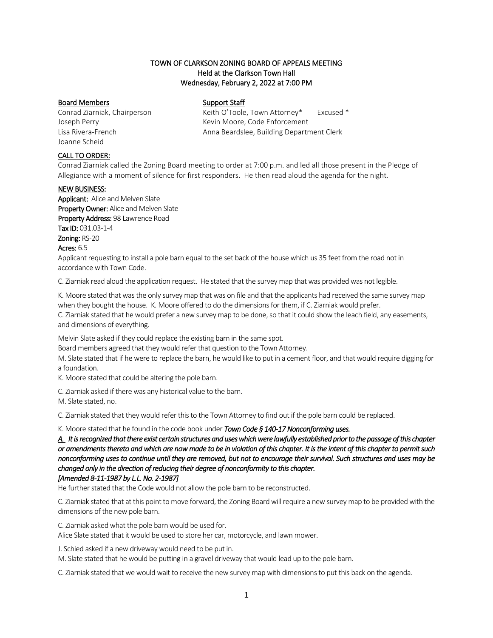## TOWN OF CLARKSON ZONING BOARD OF APPEALS MEETING Held at the Clarkson Town Hall Wednesday, February 2, 2022 at 7:00 PM

### Board Members Support Staff

Joanne Scheid

Conrad Ziarniak, Chairperson Keith O'Toole, Town Attorney\* Excused \* Joseph Perry **Kevin Moore, Code Enforcement** Lisa Rivera-French Anna Beardslee, Building Department Clerk

### CALL TO ORDER:

Conrad Ziarniak called the Zoning Board meeting to order at 7:00 p.m. and led all those present in the Pledge of Allegiance with a moment of silence for first responders. He then read aloud the agenda for the night.

#### NEW BUSINESS:

Applicant: Alice and Melven Slate Property Owner: Alice and Melven Slate Property Address: 98 Lawrence Road Tax ID: 031.03-1-4 Zoning: RS-20 Acres: 6.5

Applicant requesting to install a pole barn equal to the set back of the house which us 35 feet from the road not in accordance with Town Code.

C. Ziarniak read aloud the application request. He stated that the survey map that was provided was not legible.

K. Moore stated that was the only survey map that was on file and that the applicants had received the same survey map when they bought the house. K. Moore offered to do the dimensions for them, if C. Ziarniak would prefer. C. Ziarniak stated that he would prefer a new survey map to be done, so that it could show the leach field, any easements, and dimensions of everything.

Melvin Slate asked if they could replace the existing barn in the same spot.

Board members agreed that they would refer that question to the Town Attorney.

M. Slate stated that if he were to replace the barn, he would like to put in a cement floor, and that would require digging for a foundation.

K. Moore stated that could be altering the pole barn.

C. Ziarniak asked if there was any historical value to the barn.

M. Slate stated, no.

C. Ziarniak stated that they would refer this to the Town Attorney to find out if the pole barn could be replaced.

K. Moore stated that he found in the code book under *Town Cod[e § 140-17 Nonconforming uses.](https://ecode360.com/8650655#8650655)*

*[A.](https://ecode360.com/8650656#8650656) It is recognized that there exist certain structures and uses which were lawfully established prior to the passage of this chapter or amendments thereto and which are now made to be in violation of this chapter. It is the intent of this chapter to permit such nonconforming uses to continue until they are removed, but not to encourage their survival. Such structures and uses may be changed only in the direction of reducing their degree of nonconformity to this chapter. [Amended 8-11-1987 by L.L. No. 2-1987]* 

He further stated that the Code would not allow the pole barn to be reconstructed.

C. Ziarniak stated that at this point to move forward, the Zoning Board will require a new survey map to be provided with the dimensions of the new pole barn.

C. Ziarniak asked what the pole barn would be used for. Alice Slate stated that it would be used to store her car, motorcycle, and lawn mower.

J. Schied asked if a new driveway would need to be put in.

M. Slate stated that he would be putting in a gravel driveway that would lead up to the pole barn.

C. Ziarniak stated that we would wait to receive the new survey map with dimensions to put this back on the agenda.